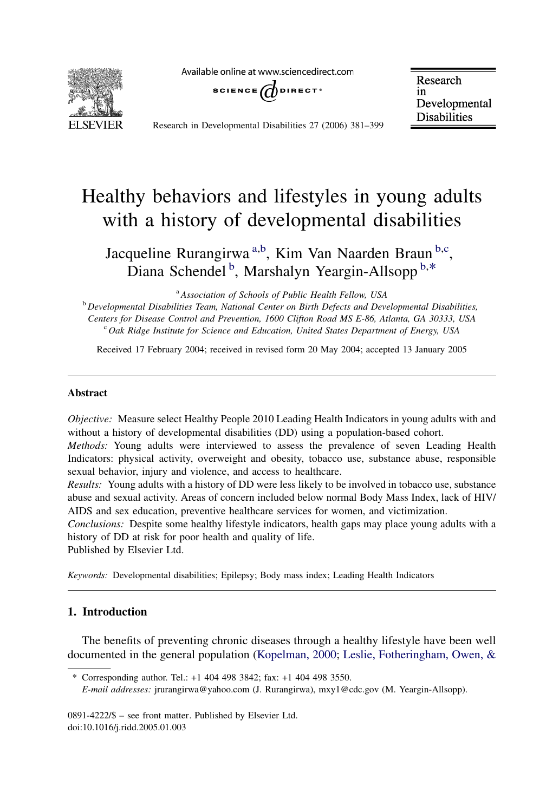Available online at www.sciencedirect.com



SCIENCE  $\bigcirc$  DIRECT<sup>®</sup>

Research in Developmental **Disabilities** 

Research in Developmental Disabilities 27 (2006) 381–399

## Healthy behaviors and lifestyles in young adults with a history of developmental disabilities

Jacqueline Rurangirwa<sup>a,b</sup>, Kim Van Naarden Braun<sup>b,c</sup>, Diana Schendel<sup>b</sup>, Marshalyn Yeargin-Allsopp<sup>b,\*</sup>

<sup>a</sup> Association of Schools of Public Health Fellow, USA

 $b$  Developmental Disabilities Team, National Center on Birth Defects and Developmental Disabilities, Centers for Disease Control and Prevention, 1600 Clifton Road MS E-86, Atlanta, GA 30333, USA <sup>c</sup> Oak Ridge Institute for Science and Education, United States Department of Energy, USA

Received 17 February 2004; received in revised form 20 May 2004; accepted 13 January 2005

#### Abstract

Objective: Measure select Healthy People 2010 Leading Health Indicators in young adults with and without a history of developmental disabilities (DD) using a population-based cohort.

Methods: Young adults were interviewed to assess the prevalence of seven Leading Health Indicators: physical activity, overweight and obesity, tobacco use, substance abuse, responsible sexual behavior, injury and violence, and access to healthcare.

Results: Young adults with a history of DD were less likely to be involved in tobacco use, substance abuse and sexual activity. Areas of concern included below normal Body Mass Index, lack of HIV/ AIDS and sex education, preventive healthcare services for women, and victimization.

Conclusions: Despite some healthy lifestyle indicators, health gaps may place young adults with a history of DD at risk for poor health and quality of life.

Published by Elsevier Ltd.

Keywords: Developmental disabilities; Epilepsy; Body mass index; Leading Health Indicators

### 1. Introduction

The benefits of preventing chronic diseases through a healthy lifestyle have been well documented in the general population [\(Kopelman, 2000;](#page--1-0) [Leslie, Fotheringham, Owen, &](#page--1-0)

<sup>\*</sup> Corresponding author. Tel.: +1 404 498 3842; fax: +1 404 498 3550.

E-mail addresses: jrurangirwa@yahoo.com (J. Rurangirwa), mxy1@cdc.gov (M. Yeargin-Allsopp).

<sup>0891-4222/\$ –</sup> see front matter. Published by Elsevier Ltd. doi:10.1016/j.ridd.2005.01.003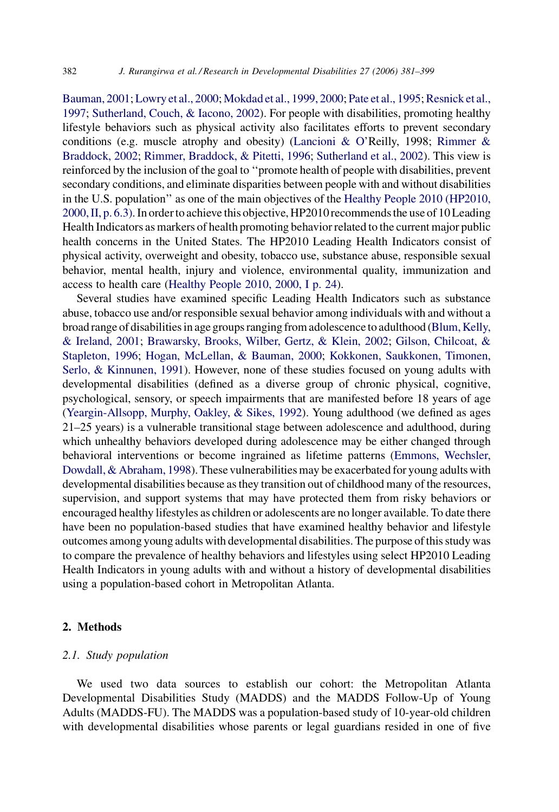[Bauman, 2001](#page--1-0); [Lowry et al., 2000](#page--1-0); [Mokdad et al., 1999, 2000;](#page--1-0) [Pate et al., 1995](#page--1-0); [Resnick et al.,](#page--1-0) [1997;](#page--1-0) [Sutherland, Couch, & Iacono, 2002](#page--1-0)). For people with disabilities, promoting healthy lifestyle behaviors such as physical activity also facilitates efforts to prevent secondary conditions (e.g. muscle atrophy and obesity) ([Lancioni & O](#page--1-0)'Reilly, 1998; [Rimmer &](#page--1-0) [Braddock, 2002](#page--1-0); [Rimmer, Braddock, & Pitetti, 1996;](#page--1-0) [Sutherland et al., 2002\)](#page--1-0). This view is reinforced by the inclusion of the goal to ''promote health of people with disabilities, prevent secondary conditions, and eliminate disparities between people with and without disabilities in the U.S. population'' as one of the main objectives of the [Healthy People 2010 \(HP2010,](#page--1-0) [2000, II, p. 6.3\).](#page--1-0) In orderto achieve this objective, HP2010 recommendsthe use of 10 Leading Health Indicators as markers of health promoting behavior related to the current major public health concerns in the United States. The HP2010 Leading Health Indicators consist of physical activity, overweight and obesity, tobacco use, substance abuse, responsible sexual behavior, mental health, injury and violence, environmental quality, immunization and access to health care [\(Healthy People 2010, 2000, I p. 24](#page--1-0)).

Several studies have examined specific Leading Health Indicators such as substance abuse, tobacco use and/or responsible sexual behavior among individuals with and without a broad range of disabilities in age groups ranging from adolescenceto adulthood [\(Blum, Kelly,](#page--1-0) [& Ireland, 2001](#page--1-0); [Brawarsky, Brooks, Wilber, Gertz, & Klein, 2002](#page--1-0); [Gilson, Chilcoat, &](#page--1-0) [Stapleton, 1996](#page--1-0); [Hogan, McLellan, & Bauman, 2000;](#page--1-0) [Kokkonen, Saukkonen, Timonen,](#page--1-0) [Serlo, & Kinnunen, 1991](#page--1-0)). However, none of these studies focused on young adults with developmental disabilities (defined as a diverse group of chronic physical, cognitive, psychological, sensory, or speech impairments that are manifested before 18 years of age ([Yeargin-Allsopp, Murphy, Oakley, & Sikes, 1992\)](#page--1-0). Young adulthood (we defined as ages 21–25 years) is a vulnerable transitional stage between adolescence and adulthood, during which unhealthy behaviors developed during adolescence may be either changed through behavioral interventions or become ingrained as lifetime patterns [\(Emmons, Wechsler,](#page--1-0) [Dowdall, & Abraham, 1998](#page--1-0)). These vulnerabilities may be exacerbated for young adults with developmental disabilities because as they transition out of childhood many of the resources, supervision, and support systems that may have protected them from risky behaviors or encouraged healthy lifestyles as children or adolescents are no longer available. To date there have been no population-based studies that have examined healthy behavior and lifestyle outcomes among young adults with developmental disabilities. The purpose of this study was to compare the prevalence of healthy behaviors and lifestyles using select HP2010 Leading Health Indicators in young adults with and without a history of developmental disabilities using a population-based cohort in Metropolitan Atlanta.

#### 2. Methods

### 2.1. Study population

We used two data sources to establish our cohort: the Metropolitan Atlanta Developmental Disabilities Study (MADDS) and the MADDS Follow-Up of Young Adults (MADDS-FU). The MADDS was a population-based study of 10-year-old children with developmental disabilities whose parents or legal guardians resided in one of five